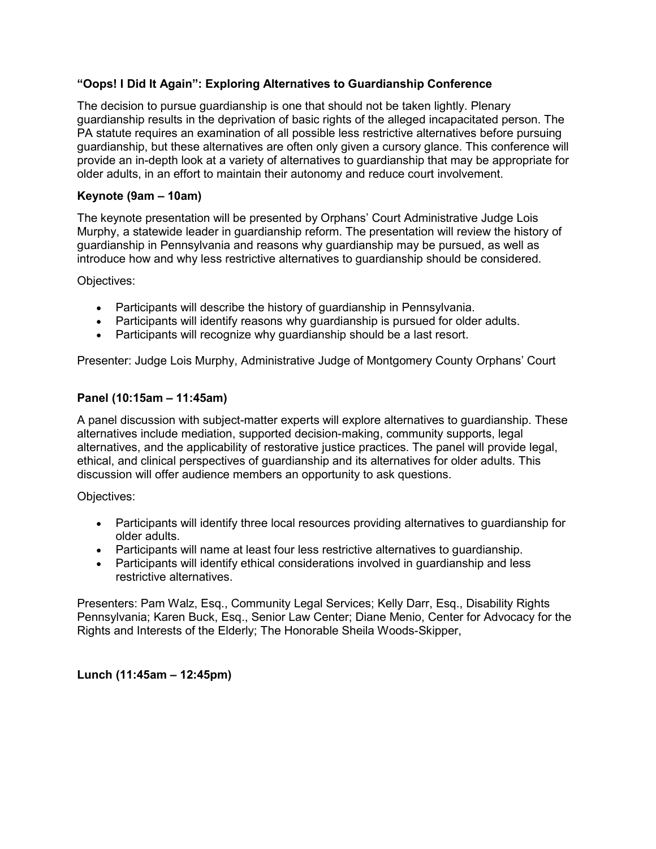## **"Oops! I Did It Again": Exploring Alternatives to Guardianship Conference**

The decision to pursue guardianship is one that should not be taken lightly. Plenary guardianship results in the deprivation of basic rights of the alleged incapacitated person. The PA statute requires an examination of all possible less restrictive alternatives before pursuing guardianship, but these alternatives are often only given a cursory glance. This conference will provide an in-depth look at a variety of alternatives to guardianship that may be appropriate for older adults, in an effort to maintain their autonomy and reduce court involvement.

#### **Keynote (9am – 10am)**

The keynote presentation will be presented by Orphans' Court Administrative Judge Lois Murphy, a statewide leader in guardianship reform. The presentation will review the history of guardianship in Pennsylvania and reasons why guardianship may be pursued, as well as introduce how and why less restrictive alternatives to guardianship should be considered.

Objectives:

- Participants will describe the history of guardianship in Pennsylvania.
- Participants will identify reasons why guardianship is pursued for older adults.
- Participants will recognize why guardianship should be a last resort.

Presenter: Judge Lois Murphy, Administrative Judge of Montgomery County Orphans' Court

#### **Panel (10:15am – 11:45am)**

A panel discussion with subject-matter experts will explore alternatives to guardianship. These alternatives include mediation, supported decision-making, community supports, legal alternatives, and the applicability of restorative justice practices. The panel will provide legal, ethical, and clinical perspectives of guardianship and its alternatives for older adults. This discussion will offer audience members an opportunity to ask questions.

Objectives:

- Participants will identify three local resources providing alternatives to guardianship for older adults.
- Participants will name at least four less restrictive alternatives to guardianship.
- Participants will identify ethical considerations involved in guardianship and less restrictive alternatives.

Presenters: Pam Walz, Esq., Community Legal Services; Kelly Darr, Esq., Disability Rights Pennsylvania; Karen Buck, Esq., Senior Law Center; Diane Menio, Center for Advocacy for the Rights and Interests of the Elderly; The Honorable Sheila Woods-Skipper,

**Lunch (11:45am – 12:45pm)**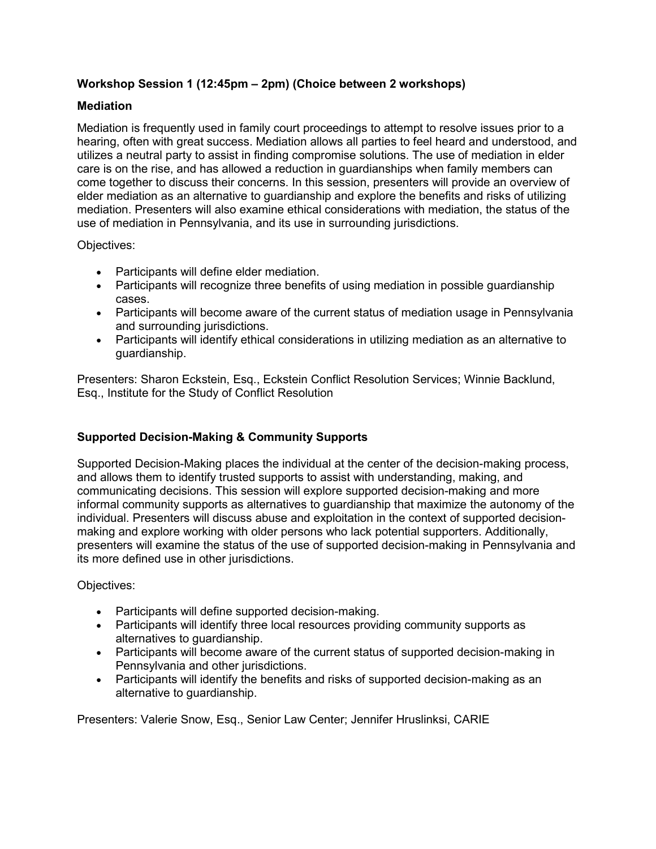# **Workshop Session 1 (12:45pm – 2pm) (Choice between 2 workshops)**

## **Mediation**

Mediation is frequently used in family court proceedings to attempt to resolve issues prior to a hearing, often with great success. Mediation allows all parties to feel heard and understood, and utilizes a neutral party to assist in finding compromise solutions. The use of mediation in elder care is on the rise, and has allowed a reduction in guardianships when family members can come together to discuss their concerns. In this session, presenters will provide an overview of elder mediation as an alternative to guardianship and explore the benefits and risks of utilizing mediation. Presenters will also examine ethical considerations with mediation, the status of the use of mediation in Pennsylvania, and its use in surrounding jurisdictions.

Objectives:

- Participants will define elder mediation.
- Participants will recognize three benefits of using mediation in possible guardianship cases.
- Participants will become aware of the current status of mediation usage in Pennsylvania and surrounding jurisdictions.
- Participants will identify ethical considerations in utilizing mediation as an alternative to guardianship.

Presenters: Sharon Eckstein, Esq., Eckstein Conflict Resolution Services; Winnie Backlund, Esq., Institute for the Study of Conflict Resolution

# **Supported Decision-Making & Community Supports**

Supported Decision-Making places the individual at the center of the decision-making process, and allows them to identify trusted supports to assist with understanding, making, and communicating decisions. This session will explore supported decision-making and more informal community supports as alternatives to guardianship that maximize the autonomy of the individual. Presenters will discuss abuse and exploitation in the context of supported decisionmaking and explore working with older persons who lack potential supporters. Additionally, presenters will examine the status of the use of supported decision-making in Pennsylvania and its more defined use in other jurisdictions.

Objectives:

- Participants will define supported decision-making.
- Participants will identify three local resources providing community supports as alternatives to guardianship.
- Participants will become aware of the current status of supported decision-making in Pennsylvania and other jurisdictions.
- Participants will identify the benefits and risks of supported decision-making as an alternative to guardianship.

Presenters: Valerie Snow, Esq., Senior Law Center; Jennifer Hruslinksi, CARIE